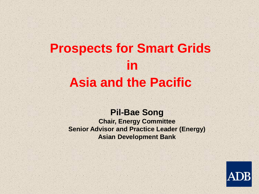# **Prospects for Smart Grids in Asia and the Pacific**

#### **Pil-Bae Song**

**Chair, Energy Committee Senior Advisor and Practice Leader (Energy) Asian Development Bank**

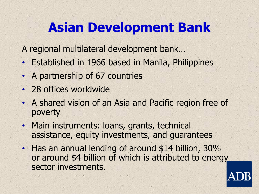# **Asian Development Bank**

A regional multilateral development bank…

- Established in 1966 based in Manila, Philippines
- A partnership of 67 countries
- 28 offices worldwide
- A shared vision of an Asia and Pacific region free of poverty
- Main instruments: loans, grants, technical assistance, equity investments, and guarantees
- Has an annual lending of around \$14 billion, 30% or around \$4 billion of which is attributed to energy sector investments.

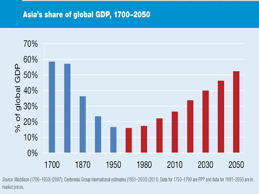#### Asia's share of global GDP, 1700-2050



Source: Maddison (1700–1950) (2007); Centennial Group International estimates (1951–2050) (2011). Data for 1750–1790 are PPP and data for 1991–2050 are in market prices.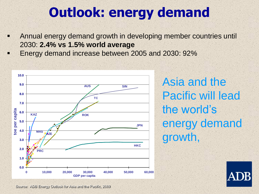# **Outlook: energy demand**

- Annual energy demand growth in developing member countries until 2030: **2.4% vs 1.5% world average**
- Energy demand increase between 2005 and 2030: 92%



Asia and the Pacific will lead the world's energy demand growth,



Source: ADB Energy Outlook for Asia and the Pacific, 2009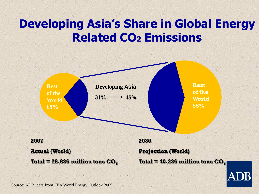## **Developing Asia's Share in Global Energy Related CO<sup>2</sup> Emissions**



Source: ADB, data from IEA World Energy Outlook 2009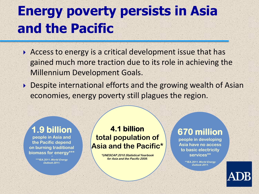# **Energy poverty persists in Asia and the Pacific**

- Access to energy is a critical development issue that has gained much more traction due to its role in achieving the Millennium Development Goals.
- ▶ Despite international efforts and the growing wealth of Asian economies, energy poverty still plagues the region.

#### **1.9 billion**

**people in Asia and the Pacific depend on burning traditional biomass for energy\*\*\***

> **\*\*\*\*IEA.2011.World Energy Outlook 2011.**

#### **4.1 billion total population of Asia and the Pacific\***

**\*UNESCAP.2010.Statistical Yearbook for Asia and the Pacific 2009.**

#### **670 million**

**people in developing Asia have no access to basic electricity services\*\***

> **\*\*IEA.2011.World Energy Outlook 2011.**

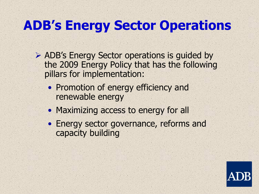# **ADB's Energy Sector Operations**

- ADB's Energy Sector operations is guided by the 2009 Energy Policy that has the following pillars for implementation:
	- Promotion of energy efficiency and renewable energy
	- Maximizing access to energy for all
	- Energy sector governance, reforms and capacity building

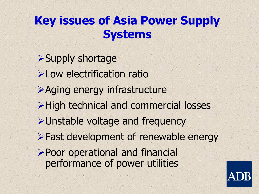## **Key issues of Asia Power Supply Systems**

Supply shortage **>Low electrification ratio** Aging energy infrastructure >High technical and commercial losses Unstable voltage and frequency **>Fast development of renewable energy** Poor operational and financial performance of power utilities

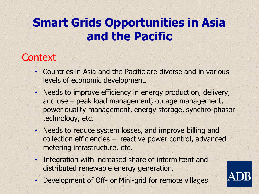## **Smart Grids Opportunities in Asia and the Pacific**

### **Context**

- Countries in Asia and the Pacific are diverse and in various levels of economic development.
- Needs to improve efficiency in energy production, delivery, and use – peak load management, outage management, power quality management, energy storage, synchro-phasor technology, etc.
- Needs to reduce system losses, and improve billing and collection efficiencies – reactive power control, advanced metering infrastructure, etc.
- Integration with increased share of intermittent and distributed renewable energy generation.
- Development of Off- or Mini-grid for remote villages

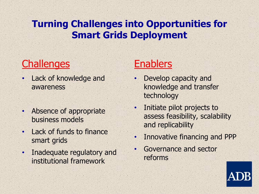#### **Turning Challenges into Opportunities for Smart Grids Deployment**

## **Challenges**

- Lack of knowledge and awareness
- Absence of appropriate business models
- Lack of funds to finance smart grids
- Inadequate regulatory and institutional framework

## **Enablers**

- Develop capacity and knowledge and transfer technology
- Initiate pilot projects to assess feasibility, scalability and replicability
- Innovative financing and PPP
- Governance and sector reforms

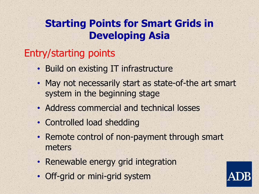### **Starting Points for Smart Grids in Developing Asia**

### Entry/starting points

- Build on existing IT infrastructure
- May not necessarily start as state-of-the art smart system in the beginning stage
- Address commercial and technical losses
- Controlled load shedding
- Remote control of non-payment through smart meters
- Renewable energy grid integration
- Off-grid or mini-grid system

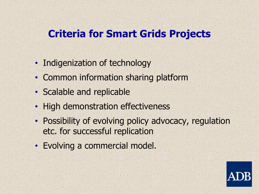### **Criteria for Smart Grids Projects**

- Indigenization of technology
- Common information sharing platform
- Scalable and replicable
- High demonstration effectiveness
- Possibility of evolving policy advocacy, regulation etc. for successful replication
- Evolving a commercial model.

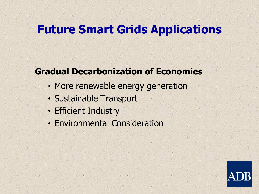## **Future Smart Grids Applications**

#### **Gradual Decarbonization of Economies**

- More renewable energy generation
- Sustainable Transport
- Efficient Industry
- Environmental Consideration

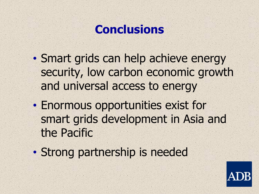## **Conclusions**

- Smart grids can help achieve energy security, low carbon economic growth and universal access to energy
- Enormous opportunities exist for smart grids development in Asia and the Pacific
- Strong partnership is needed